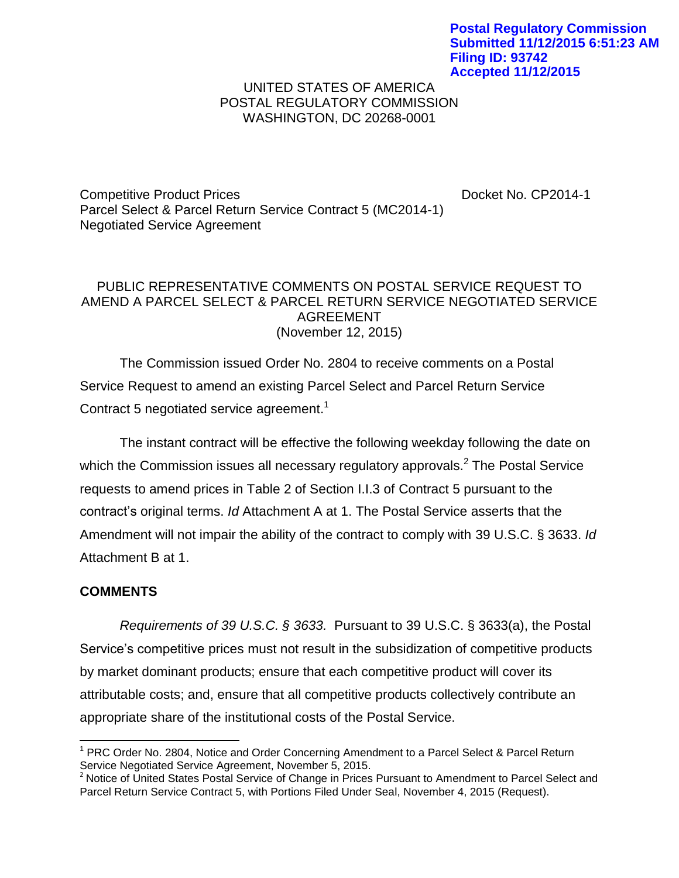## UNITED STATES OF AMERICA POSTAL REGULATORY COMMISSION WASHINGTON, DC 20268-0001

Competitive Product Prices **Docket No. CP2014-1** Parcel Select & Parcel Return Service Contract 5 (MC2014-1) Negotiated Service Agreement

## PUBLIC REPRESENTATIVE COMMENTS ON POSTAL SERVICE REQUEST TO AMEND A PARCEL SELECT & PARCEL RETURN SERVICE NEGOTIATED SERVICE AGREEMENT (November 12, 2015)

The Commission issued Order No. 2804 to receive comments on a Postal Service Request to amend an existing Parcel Select and Parcel Return Service Contract 5 negotiated service agreement.<sup>1</sup>

The instant contract will be effective the following weekday following the date on which the Commission issues all necessary regulatory approvals.<sup>2</sup> The Postal Service requests to amend prices in Table 2 of Section I.I.3 of Contract 5 pursuant to the contract's original terms. *Id* Attachment A at 1. The Postal Service asserts that the Amendment will not impair the ability of the contract to comply with 39 U.S.C. § 3633. *Id* Attachment B at 1.

## **COMMENTS**

 $\overline{\phantom{a}}$ 

*Requirements of 39 U.S.C. § 3633.* Pursuant to 39 U.S.C. § 3633(a), the Postal Service's competitive prices must not result in the subsidization of competitive products by market dominant products; ensure that each competitive product will cover its attributable costs; and, ensure that all competitive products collectively contribute an appropriate share of the institutional costs of the Postal Service.

<sup>&</sup>lt;sup>1</sup> PRC Order No. 2804, Notice and Order Concerning Amendment to a Parcel Select & Parcel Return Service Negotiated Service Agreement, November 5, 2015.

<sup>&</sup>lt;sup>2</sup> Notice of United States Postal Service of Change in Prices Pursuant to Amendment to Parcel Select and Parcel Return Service Contract 5, with Portions Filed Under Seal, November 4, 2015 (Request).